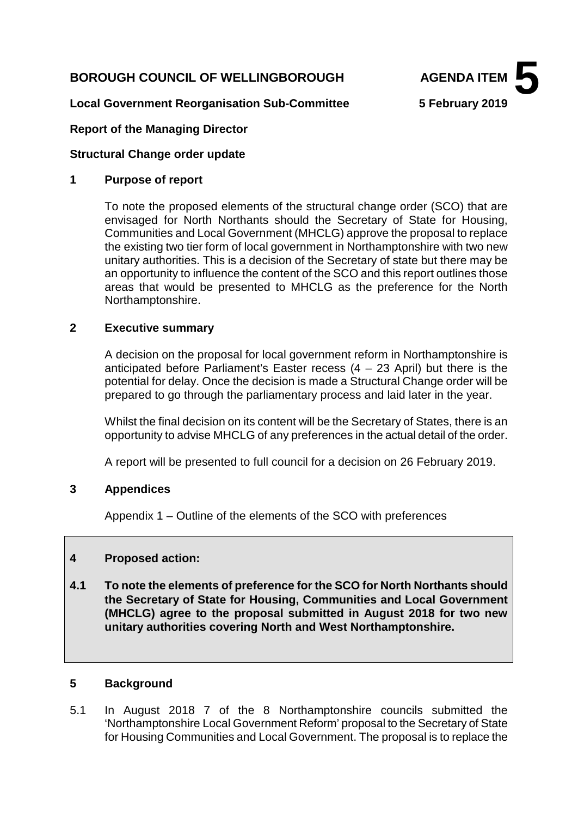# **BOROUGH COUNCIL OF WELLINGBOROUGH AGENDA ITEM**



#### **Local Government Reorganisation Sub-Committee 5 February 2019**

#### **Report of the Managing Director**

#### **Structural Change order update**

#### **1 Purpose of report**

To note the proposed elements of the structural change order (SCO) that are envisaged for North Northants should the Secretary of State for Housing, Communities and Local Government (MHCLG) approve the proposal to replace the existing two tier form of local government in Northamptonshire with two new unitary authorities. This is a decision of the Secretary of state but there may be an opportunity to influence the content of the SCO and this report outlines those areas that would be presented to MHCLG as the preference for the North Northamptonshire.

## **2 Executive summary**

A decision on the proposal for local government reform in Northamptonshire is anticipated before Parliament's Easter recess  $(4 - 23$  April) but there is the potential for delay. Once the decision is made a Structural Change order will be prepared to go through the parliamentary process and laid later in the year.

Whilst the final decision on its content will be the Secretary of States, there is an opportunity to advise MHCLG of any preferences in the actual detail of the order.

A report will be presented to full council for a decision on 26 February 2019.

## **3 Appendices**

Appendix 1 – Outline of the elements of the SCO with preferences

## **4 Proposed action:**

**4.1 To note the elements of preference for the SCO for North Northants should the Secretary of State for Housing, Communities and Local Government (MHCLG) agree to the proposal submitted in August 2018 for two new unitary authorities covering North and West Northamptonshire.**

#### **5 Background**

5.1 In August 2018 7 of the 8 Northamptonshire councils submitted the 'Northamptonshire Local Government Reform' proposal to the Secretary of State for Housing Communities and Local Government. The proposal is to replace the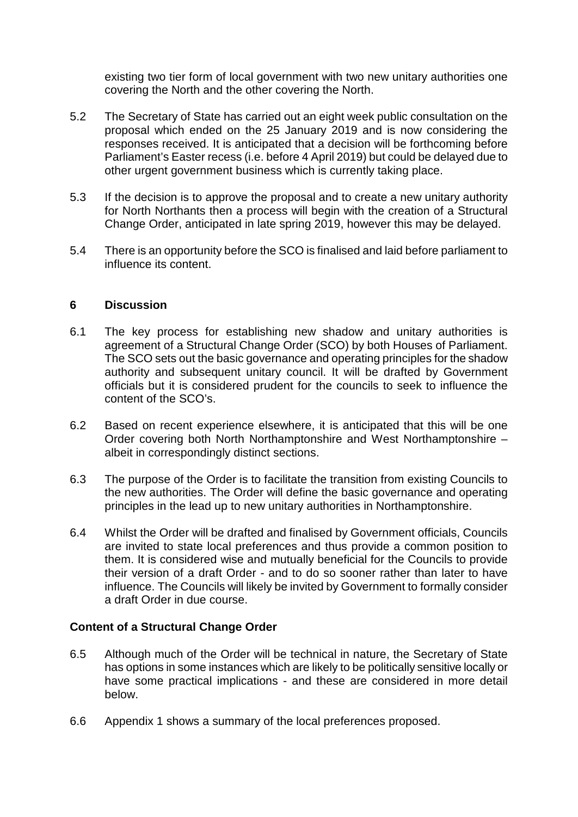existing two tier form of local government with two new unitary authorities one covering the North and the other covering the North.

- 5.2 The Secretary of State has carried out an eight week public consultation on the proposal which ended on the 25 January 2019 and is now considering the responses received. It is anticipated that a decision will be forthcoming before Parliament's Easter recess (i.e. before 4 April 2019) but could be delayed due to other urgent government business which is currently taking place.
- 5.3 If the decision is to approve the proposal and to create a new unitary authority for North Northants then a process will begin with the creation of a Structural Change Order, anticipated in late spring 2019, however this may be delayed.
- 5.4 There is an opportunity before the SCO is finalised and laid before parliament to influence its content.

## **6 Discussion**

- 6.1 The key process for establishing new shadow and unitary authorities is agreement of a Structural Change Order (SCO) by both Houses of Parliament. The SCO sets out the basic governance and operating principles for the shadow authority and subsequent unitary council. It will be drafted by Government officials but it is considered prudent for the councils to seek to influence the content of the SCO's.
- 6.2 Based on recent experience elsewhere, it is anticipated that this will be one Order covering both North Northamptonshire and West Northamptonshire – albeit in correspondingly distinct sections.
- 6.3 The purpose of the Order is to facilitate the transition from existing Councils to the new authorities. The Order will define the basic governance and operating principles in the lead up to new unitary authorities in Northamptonshire.
- 6.4 Whilst the Order will be drafted and finalised by Government officials, Councils are invited to state local preferences and thus provide a common position to them. It is considered wise and mutually beneficial for the Councils to provide their version of a draft Order - and to do so sooner rather than later to have influence. The Councils will likely be invited by Government to formally consider a draft Order in due course.

## **Content of a Structural Change Order**

- 6.5 Although much of the Order will be technical in nature, the Secretary of State has options in some instances which are likely to be politically sensitive locally or have some practical implications - and these are considered in more detail below.
- 6.6 Appendix 1 shows a summary of the local preferences proposed.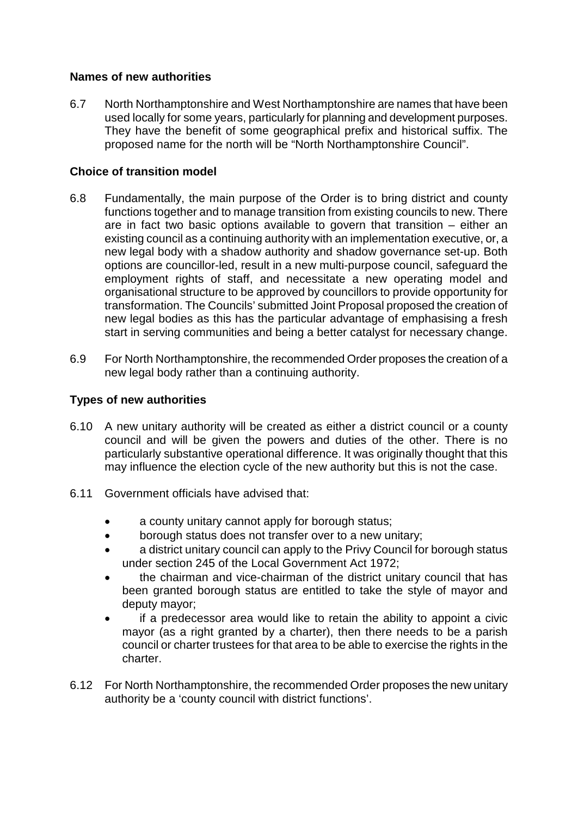# **Names of new authorities**

6.7 North Northamptonshire and West Northamptonshire are names that have been used locally for some years, particularly for planning and development purposes. They have the benefit of some geographical prefix and historical suffix. The proposed name for the north will be "North Northamptonshire Council".

# **Choice of transition model**

- 6.8 Fundamentally, the main purpose of the Order is to bring district and county functions together and to manage transition from existing councils to new. There are in fact two basic options available to govern that transition – either an existing council as a continuing authority with an implementation executive, or, a new legal body with a shadow authority and shadow governance set-up. Both options are councillor-led, result in a new multi-purpose council, safeguard the employment rights of staff, and necessitate a new operating model and organisational structure to be approved by councillors to provide opportunity for transformation. The Councils' submitted Joint Proposal proposed the creation of new legal bodies as this has the particular advantage of emphasising a fresh start in serving communities and being a better catalyst for necessary change.
- 6.9 For North Northamptonshire, the recommended Order proposes the creation of a new legal body rather than a continuing authority.

# **Types of new authorities**

- 6.10 A new unitary authority will be created as either a district council or a county council and will be given the powers and duties of the other. There is no particularly substantive operational difference. It was originally thought that this may influence the election cycle of the new authority but this is not the case.
- 6.11 Government officials have advised that:
	- a county unitary cannot apply for borough status;
	- borough status does not transfer over to a new unitary;
	- a district unitary council can apply to the Privy Council for borough status under section 245 of the Local Government Act 1972;
	- the chairman and vice-chairman of the district unitary council that has been granted borough status are entitled to take the style of mayor and deputy mayor;
	- if a predecessor area would like to retain the ability to appoint a civic mayor (as a right granted by a charter), then there needs to be a parish council or charter trustees for that area to be able to exercise the rights in the charter.
- 6.12 For North Northamptonshire, the recommended Order proposes the new unitary authority be a 'county council with district functions'.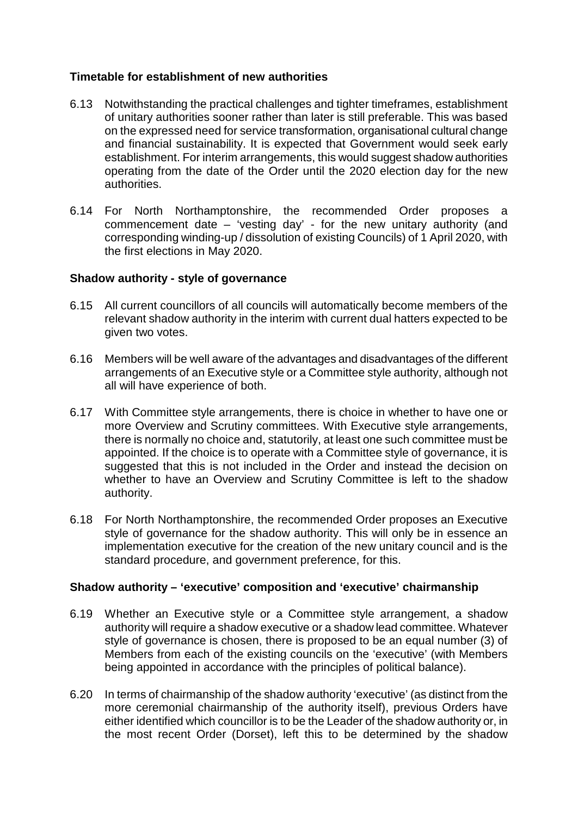# **Timetable for establishment of new authorities**

- 6.13 Notwithstanding the practical challenges and tighter timeframes, establishment of unitary authorities sooner rather than later is still preferable. This was based on the expressed need for service transformation, organisational cultural change and financial sustainability. It is expected that Government would seek early establishment. For interim arrangements, this would suggest shadow authorities operating from the date of the Order until the 2020 election day for the new authorities.
- 6.14 For North Northamptonshire, the recommended Order proposes a commencement date – 'vesting day' - for the new unitary authority (and corresponding winding-up / dissolution of existing Councils) of 1 April 2020, with the first elections in May 2020.

## **Shadow authority - style of governance**

- 6.15 All current councillors of all councils will automatically become members of the relevant shadow authority in the interim with current dual hatters expected to be given two votes.
- 6.16 Members will be well aware of the advantages and disadvantages of the different arrangements of an Executive style or a Committee style authority, although not all will have experience of both.
- 6.17 With Committee style arrangements, there is choice in whether to have one or more Overview and Scrutiny committees. With Executive style arrangements, there is normally no choice and, statutorily, at least one such committee must be appointed. If the choice is to operate with a Committee style of governance, it is suggested that this is not included in the Order and instead the decision on whether to have an Overview and Scrutiny Committee is left to the shadow authority.
- 6.18 For North Northamptonshire, the recommended Order proposes an Executive style of governance for the shadow authority. This will only be in essence an implementation executive for the creation of the new unitary council and is the standard procedure, and government preference, for this.

## **Shadow authority – 'executive' composition and 'executive' chairmanship**

- 6.19 Whether an Executive style or a Committee style arrangement, a shadow authority will require a shadow executive or a shadow lead committee. Whatever style of governance is chosen, there is proposed to be an equal number (3) of Members from each of the existing councils on the 'executive' (with Members being appointed in accordance with the principles of political balance).
- 6.20 In terms of chairmanship of the shadow authority 'executive' (as distinct from the more ceremonial chairmanship of the authority itself), previous Orders have either identified which councillor is to be the Leader of the shadow authority or, in the most recent Order (Dorset), left this to be determined by the shadow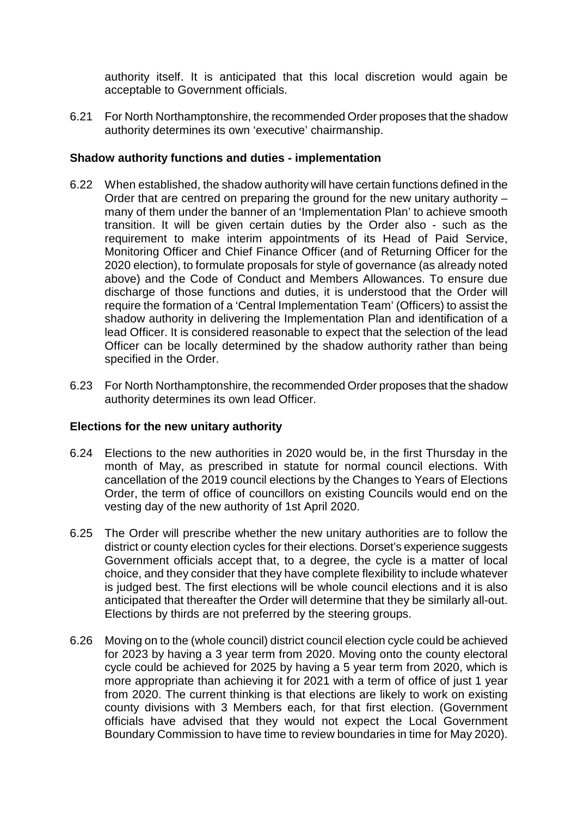authority itself. It is anticipated that this local discretion would again be acceptable to Government officials.

6.21 For North Northamptonshire, the recommended Order proposes that the shadow authority determines its own 'executive' chairmanship.

# **Shadow authority functions and duties - implementation**

- 6.22 When established, the shadow authority will have certain functions defined in the Order that are centred on preparing the ground for the new unitary authority – many of them under the banner of an 'Implementation Plan' to achieve smooth transition. It will be given certain duties by the Order also - such as the requirement to make interim appointments of its Head of Paid Service, Monitoring Officer and Chief Finance Officer (and of Returning Officer for the 2020 election), to formulate proposals for style of governance (as already noted above) and the Code of Conduct and Members Allowances. To ensure due discharge of those functions and duties, it is understood that the Order will require the formation of a 'Central Implementation Team' (Officers) to assist the shadow authority in delivering the Implementation Plan and identification of a lead Officer. It is considered reasonable to expect that the selection of the lead Officer can be locally determined by the shadow authority rather than being specified in the Order.
- 6.23 For North Northamptonshire, the recommended Order proposes that the shadow authority determines its own lead Officer.

## **Elections for the new unitary authority**

- 6.24 Elections to the new authorities in 2020 would be, in the first Thursday in the month of May, as prescribed in statute for normal council elections. With cancellation of the 2019 council elections by the Changes to Years of Elections Order, the term of office of councillors on existing Councils would end on the vesting day of the new authority of 1st April 2020.
- 6.25 The Order will prescribe whether the new unitary authorities are to follow the district or county election cycles for their elections. Dorset's experience suggests Government officials accept that, to a degree, the cycle is a matter of local choice, and they consider that they have complete flexibility to include whatever is judged best. The first elections will be whole council elections and it is also anticipated that thereafter the Order will determine that they be similarly all-out. Elections by thirds are not preferred by the steering groups.
- 6.26 Moving on to the (whole council) district council election cycle could be achieved for 2023 by having a 3 year term from 2020. Moving onto the county electoral cycle could be achieved for 2025 by having a 5 year term from 2020, which is more appropriate than achieving it for 2021 with a term of office of just 1 year from 2020. The current thinking is that elections are likely to work on existing county divisions with 3 Members each, for that first election. (Government officials have advised that they would not expect the Local Government Boundary Commission to have time to review boundaries in time for May 2020).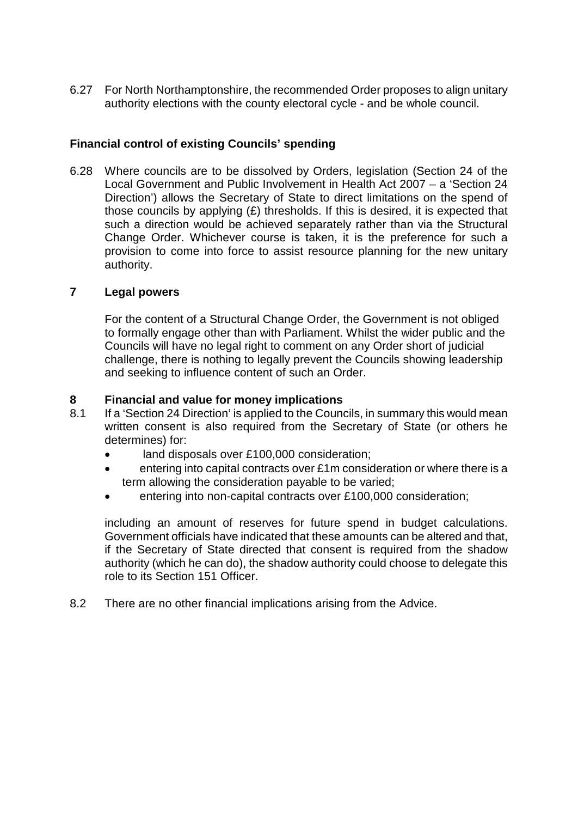6.27 For North Northamptonshire, the recommended Order proposes to align unitary authority elections with the county electoral cycle - and be whole council.

# **Financial control of existing Councils' spending**

6.28 Where councils are to be dissolved by Orders, legislation (Section 24 of the Local Government and Public Involvement in Health Act 2007 – a 'Section 24 Direction') allows the Secretary of State to direct limitations on the spend of those councils by applying (£) thresholds. If this is desired, it is expected that such a direction would be achieved separately rather than via the Structural Change Order. Whichever course is taken, it is the preference for such a provision to come into force to assist resource planning for the new unitary authority.

## **7 Legal powers**

For the content of a Structural Change Order, the Government is not obliged to formally engage other than with Parliament. Whilst the wider public and the Councils will have no legal right to comment on any Order short of judicial challenge, there is nothing to legally prevent the Councils showing leadership and seeking to influence content of such an Order.

# **8 Financial and value for money implications**

- If a 'Section 24 Direction' is applied to the Councils, in summary this would mean written consent is also required from the Secretary of State (or others he determines) for:
	- land disposals over £100,000 consideration;
	- entering into capital contracts over £1m consideration or where there is a term allowing the consideration payable to be varied;
	- entering into non-capital contracts over £100,000 consideration;

including an amount of reserves for future spend in budget calculations. Government officials have indicated that these amounts can be altered and that, if the Secretary of State directed that consent is required from the shadow authority (which he can do), the shadow authority could choose to delegate this role to its Section 151 Officer.

8.2 There are no other financial implications arising from the Advice.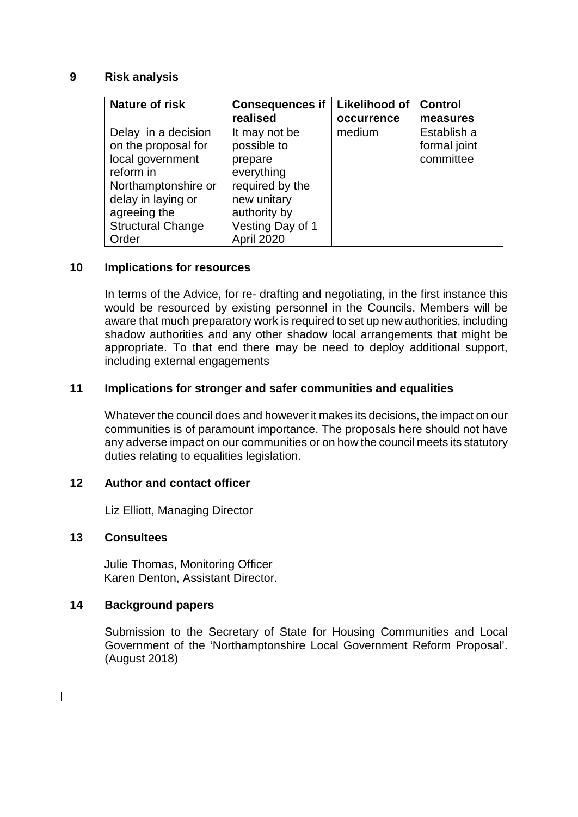#### **9 Risk analysis**

| <b>Nature of risk</b>    | <b>Consequences if</b> | Likelihood of | <b>Control</b> |
|--------------------------|------------------------|---------------|----------------|
|                          | realised               | occurrence    | measures       |
| Delay in a decision      | It may not be          | medium        | Establish a    |
| on the proposal for      | possible to            |               | formal joint   |
| local government         | prepare                |               | committee      |
| reform in                | everything             |               |                |
| Northamptonshire or      | required by the        |               |                |
| delay in laying or       | new unitary            |               |                |
| agreeing the             | authority by           |               |                |
| <b>Structural Change</b> | Vesting Day of 1       |               |                |
| Order                    | <b>April 2020</b>      |               |                |

## **10 Implications for resources**

In terms of the Advice, for re- drafting and negotiating, in the first instance this would be resourced by existing personnel in the Councils. Members will be aware that much preparatory work is required to set up new authorities, including shadow authorities and any other shadow local arrangements that might be appropriate. To that end there may be need to deploy additional support, including external engagements

#### **11 Implications for stronger and safer communities and equalities**

Whatever the council does and however it makes its decisions, the impact on our communities is of paramount importance. The proposals here should not have any adverse impact on our communities or on how the council meets its statutory duties relating to equalities legislation.

#### **12 Author and contact officer**

Liz Elliott, Managing Director

#### **13 Consultees**

 $\overline{\phantom{a}}$ 

Julie Thomas, Monitoring Officer Karen Denton, Assistant Director.

## **14 Background papers**

Submission to the Secretary of State for Housing Communities and Local Government of the 'Northamptonshire Local Government Reform Proposal'. (August 2018)